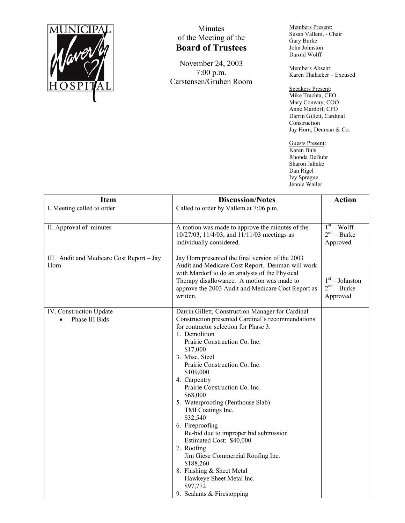

## Minutes of the Meeting of the **Board of Trustees**

November 24, 2003 7:00 p.m. Carstensen/Gruben Room Members Present: Susan Vallem, - Chair Gary Burke John Johnston Darold Wolff

Members Absent: Karen Thalacker – Excused

Speakers Present: Mike Trachta, CEO Mary Conway, COO Anne Mardorf, CFO Darrin Gillett, Cardinal Construction Jay Horn, Denman & Co.

Guests Present: Karen Buls Rhonda DeBuhr Sharon Jahnke Dan Rigel Ivy Sprague Jennie Waller

| <b>Item</b>                                       | <b>Discussion/Notes</b>                                                                                                                                                                                                                                                                                                                                                                                                                                                                                                                                                                                                                                                     | <b>Action</b>                                 |
|---------------------------------------------------|-----------------------------------------------------------------------------------------------------------------------------------------------------------------------------------------------------------------------------------------------------------------------------------------------------------------------------------------------------------------------------------------------------------------------------------------------------------------------------------------------------------------------------------------------------------------------------------------------------------------------------------------------------------------------------|-----------------------------------------------|
| I. Meeting called to order                        | Called to order by Vallem at 7:06 p.m.                                                                                                                                                                                                                                                                                                                                                                                                                                                                                                                                                                                                                                      |                                               |
| II. Approval of minutes                           | A motion was made to approve the minutes of the<br>10/27/03, 11/4/03, and 11/11/03 meetings as<br>individually considered.                                                                                                                                                                                                                                                                                                                                                                                                                                                                                                                                                  | $1st - Wolf$<br>$2nd - Burke$<br>Approved     |
| III. Audit and Medicare Cost Report - Jay<br>Horn | Jay Horn presented the final version of the 2003<br>Audit and Medicare Cost Report. Denman will work<br>with Mardorf to do an analysis of the Physical<br>Therapy disallowance. A motion was made to<br>approve the 2003 Audit and Medicare Cost Report as<br>written.                                                                                                                                                                                                                                                                                                                                                                                                      | $1st - Johnston$<br>$2nd - Burke$<br>Approved |
| IV. Construction Update<br>Phase III Bids         | Darrin Gillett, Construction Manager for Cardinal<br>Construction presented Cardinal's recommendations<br>for contractor selection for Phase 3.<br>1. Demolition<br>Prairie Construction Co. Inc.<br>\$17,000<br>3. Misc. Steel<br>Prairie Construction Co. Inc.<br>\$109,000<br>4. Carpentry<br>Prairie Construction Co. Inc.<br>\$68,000<br>5. Waterproofing (Penthouse Slab)<br>TMI Coatings Inc.<br>\$32,540<br>6. Fireproofing<br>Re-bid due to improper bid submission<br>Estimated Cost: \$40,000<br>7. Roofing<br>Jim Giese Commercial Roofing Inc.<br>\$188,260<br>8. Flashing & Sheet Metal<br>Hawkeye Sheet Metal Inc.<br>\$97,772<br>9. Sealants & Firestopping |                                               |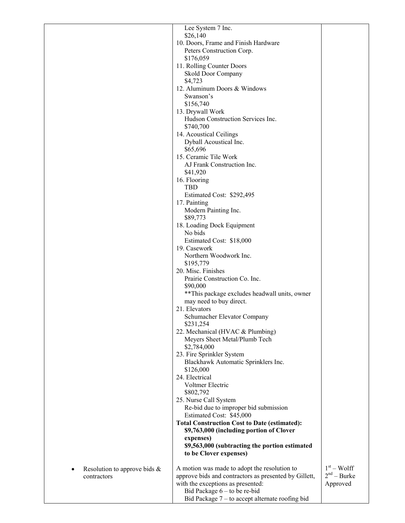|                                 | Lee System 7 Inc.                                              |               |
|---------------------------------|----------------------------------------------------------------|---------------|
|                                 | \$26,140                                                       |               |
|                                 | 10. Doors, Frame and Finish Hardware                           |               |
|                                 | Peters Construction Corp.                                      |               |
|                                 | \$176,059                                                      |               |
|                                 | 11. Rolling Counter Doors                                      |               |
|                                 | Skold Door Company                                             |               |
|                                 | \$4,723                                                        |               |
|                                 | 12. Aluminum Doors & Windows                                   |               |
|                                 | Swanson's                                                      |               |
|                                 | \$156,740                                                      |               |
|                                 | 13. Drywall Work                                               |               |
|                                 | Hudson Construction Services Inc.<br>\$740,700                 |               |
|                                 | 14. Acoustical Ceilings                                        |               |
|                                 | Dyball Acoustical Inc.                                         |               |
|                                 | \$65,696                                                       |               |
|                                 | 15. Ceramic Tile Work                                          |               |
|                                 | AJ Frank Construction Inc.                                     |               |
|                                 | \$41,920                                                       |               |
|                                 | 16. Flooring                                                   |               |
|                                 | <b>TBD</b>                                                     |               |
|                                 | Estimated Cost: \$292,495                                      |               |
|                                 | 17. Painting                                                   |               |
|                                 | Modern Painting Inc.                                           |               |
|                                 | \$89,773                                                       |               |
|                                 | 18. Loading Dock Equipment                                     |               |
|                                 | No bids                                                        |               |
|                                 | Estimated Cost: \$18,000                                       |               |
|                                 | 19. Casework                                                   |               |
|                                 | Northern Woodwork Inc.<br>\$195,779                            |               |
|                                 | 20. Misc. Finishes                                             |               |
|                                 | Prairie Construction Co. Inc.                                  |               |
|                                 | \$90,000                                                       |               |
|                                 | ** This package excludes headwall units, owner                 |               |
|                                 | may need to buy direct.                                        |               |
|                                 | 21. Elevators                                                  |               |
|                                 | Schumacher Elevator Company                                    |               |
|                                 | \$231,254                                                      |               |
|                                 | 22. Mechanical (HVAC & Plumbing)                               |               |
|                                 | Meyers Sheet Metal/Plumb Tech                                  |               |
|                                 | \$2,784,000                                                    |               |
|                                 | 23. Fire Sprinkler System                                      |               |
|                                 | Blackhawk Automatic Sprinklers Inc.                            |               |
|                                 | \$126,000                                                      |               |
|                                 | 24. Electrical                                                 |               |
|                                 | Voltmer Electric                                               |               |
|                                 | \$802,792                                                      |               |
|                                 | 25. Nurse Call System<br>Re-bid due to improper bid submission |               |
|                                 | Estimated Cost: \$45,000                                       |               |
|                                 | <b>Total Construction Cost to Date (estimated):</b>            |               |
|                                 | \$9,763,000 (including portion of Clover                       |               |
|                                 | expenses)                                                      |               |
|                                 | \$9,563,000 (subtracting the portion estimated                 |               |
|                                 | to be Clover expenses)                                         |               |
|                                 |                                                                |               |
| Resolution to approve bids $\&$ | A motion was made to adopt the resolution to                   | $1st - Wolf$  |
| contractors                     | approve bids and contractors as presented by Gillett,          | $2nd - Burke$ |
|                                 | with the exceptions as presented:                              | Approved      |
|                                 | Bid Package $6 -$ to be re-bid                                 |               |
|                                 | Bid Package $7 -$ to accept alternate roofing bid              |               |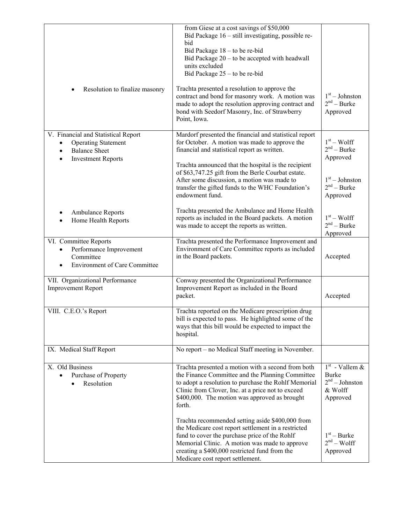|                                                                                                                                                               | from Giese at a cost savings of \$50,000<br>Bid Package 16 – still investigating, possible re-<br>bid<br>Bid Package 18 – to be re-bid<br>Bid Package $20 -$ to be accepted with headwall<br>units excluded<br>Bid Package 25 – to be re-bid                                                                                                                                                                                               |                                                                                              |
|---------------------------------------------------------------------------------------------------------------------------------------------------------------|--------------------------------------------------------------------------------------------------------------------------------------------------------------------------------------------------------------------------------------------------------------------------------------------------------------------------------------------------------------------------------------------------------------------------------------------|----------------------------------------------------------------------------------------------|
| Resolution to finalize masonry                                                                                                                                | Trachta presented a resolution to approve the<br>contract and bond for masonry work. A motion was<br>made to adopt the resolution approving contract and<br>bond with Seedorf Masonry, Inc. of Strawberry<br>Point, Iowa.                                                                                                                                                                                                                  | $1st - Johnston$<br>$2nd - Burke$<br>Approved                                                |
| V. Financial and Statistical Report<br><b>Operating Statement</b><br>$\bullet$<br><b>Balance Sheet</b><br>$\bullet$<br><b>Investment Reports</b><br>$\bullet$ | Mardorf presented the financial and statistical report<br>for October. A motion was made to approve the<br>financial and statistical report as written.<br>Trachta announced that the hospital is the recipient<br>of \$63,747.25 gift from the Berle Courbat estate.<br>After some discussion, a motion was made to<br>transfer the gifted funds to the WHC Foundation's<br>endowment fund.                                               | $1st - Wolf$<br>$2nd - Burke$<br>Approved<br>$1st - Johnston$<br>$2nd - Burke$<br>Approved   |
| <b>Ambulance Reports</b><br>Home Health Reports                                                                                                               | Trachta presented the Ambulance and Home Health<br>reports as included in the Board packets. A motion<br>was made to accept the reports as written.                                                                                                                                                                                                                                                                                        | $1st - Wolf$<br>$2nd - Burke$<br>Approved                                                    |
| VI. Committee Reports<br>Performance Improvement<br>Committee<br><b>Environment of Care Committee</b>                                                         | Trachta presented the Performance Improvement and<br>Environment of Care Committee reports as included<br>in the Board packets.                                                                                                                                                                                                                                                                                                            | Accepted                                                                                     |
| VII. Organizational Performance<br><b>Improvement Report</b>                                                                                                  | Conway presented the Organizational Performance<br>Improvement Report as included in the Board<br>packet.                                                                                                                                                                                                                                                                                                                                  | Accepted                                                                                     |
| VIII. C.E.O.'s Report                                                                                                                                         | Trachta reported on the Medicare prescription drug<br>bill is expected to pass. He highlighted some of the<br>ways that this bill would be expected to impact the<br>hospital.                                                                                                                                                                                                                                                             |                                                                                              |
| IX. Medical Staff Report                                                                                                                                      | No report – no Medical Staff meeting in November.                                                                                                                                                                                                                                                                                                                                                                                          |                                                                                              |
| X. Old Business<br>Purchase of Property<br>Resolution                                                                                                         | Trachta presented a motion with a second from both<br>the Finance Committee and the Planning Committee<br>to adopt a resolution to purchase the Rohlf Memorial<br>Clinic from Clover, Inc. at a price not to exceed<br>\$400,000. The motion was approved as brought<br>forth.<br>Trachta recommended setting aside \$400,000 from<br>the Medicare cost report settlement in a restricted<br>fund to cover the purchase price of the Rohlf | $1st$ - Vallem &<br><b>Burke</b><br>$2nd - Johnston$<br>& Wolff<br>Approved<br>$1st - Burke$ |
|                                                                                                                                                               | Memorial Clinic. A motion was made to approve<br>creating a \$400,000 restricted fund from the<br>Medicare cost report settlement.                                                                                                                                                                                                                                                                                                         | $2nd - Wolf$<br>Approved                                                                     |